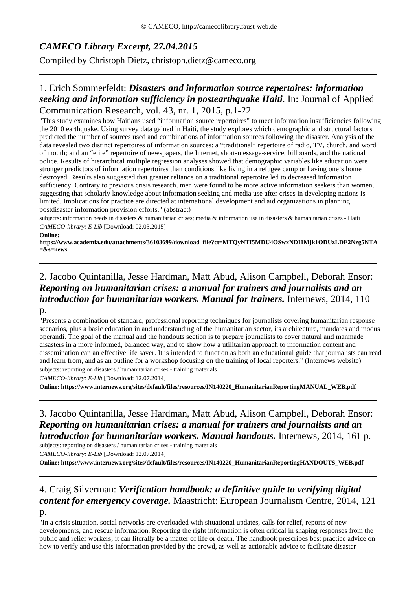# *CAMECO Library Excerpt, 27.04.2015*

Compiled by Christoph Dietz, christoph.dietz@cameco.org

## 1. Erich Sommerfeldt: *Disasters and information source repertoires: information seeking and information sufficiency in postearthquake Haiti.* In: Journal of Applied Communication Research, vol. 43, nr. 1, 2015, p.1-22

"This study examines how Haitians used "information source repertoires" to meet information insufficiencies following the 2010 earthquake. Using survey data gained in Haiti, the study explores which demographic and structural factors predicted the number of sources used and combinations of information sources following the disaster. Analysis of the data revealed two distinct repertoires of information sources: a "traditional" repertoire of radio, TV, church, and word of mouth; and an "elite" repertoire of newspapers, the Internet, short-message-service, billboards, and the national police. Results of hierarchical multiple regression analyses showed that demographic variables like education were stronger predictors of information repertoires than conditions like living in a refugee camp or having one's home destroyed. Results also suggested that greater reliance on a traditional repertoire led to decreased information sufficiency. Contrary to previous crisis research, men were found to be more active information seekers than women, suggesting that scholarly knowledge about information seeking and media use after crises in developing nations is limited. Implications for practice are directed at international development and aid organizations in planning postdisaster information provision efforts." (abstract)

subjects: information needs in disasters & humanitarian crises; media & information use in disasters & humanitarian crises - Haiti *CAMECO-library: E-Lib* [Download: 02.03.2015]

#### **Online:**

**https://www.academia.edu/attachments/36103699/download\_file?ct=MTQyNTI5MDU4OSwxNDI1Mjk1ODUzLDE2Nzg5NTA =&s=news**

### 2. Jacobo Quintanilla, Jesse Hardman, Matt Abud, Alison Campbell, Deborah Ensor: *Reporting on humanitarian crises: a manual for trainers and journalists and an introduction for humanitarian workers. Manual for trainers.* Internews, 2014, 110 p.

"Presents a combination of standard, professional reporting techniques for journalists covering humanitarian response scenarios, plus a basic education in and understanding of the humanitarian sector, its architecture, mandates and modus operandi. The goal of the manual and the handouts section is to prepare journalists to cover natural and manmade disasters in a more informed, balanced way, and to show how a utilitarian approach to information content and dissemination can an effective life saver. It is intended to function as both an educational guide that journalists can read and learn from, and as an outline for a workshop focusing on the training of local reporters." (Internews website) subjects: reporting on disasters / humanitarian crises - training materials

*CAMECO-library: E-Lib* [Download: 12.07.2014]

**Online: https://www.internews.org/sites/default/files/resources/IN140220\_HumanitarianReportingMANUAL\_WEB.pdf**

## 3. Jacobo Quintanilla, Jesse Hardman, Matt Abud, Alison Campbell, Deborah Ensor: *Reporting on humanitarian crises: a manual for trainers and journalists and an introduction for humanitarian workers. Manual handouts.* Internews, 2014, 161 p.

subjects: reporting on disasters / humanitarian crises - training materials

*CAMECO-library: E-Lib* [Download: 12.07.2014]

**Online: https://www.internews.org/sites/default/files/resources/IN140220\_HumanitarianReportingHANDOUTS\_WEB.pdf**

### 4. Craig Silverman: *Verification handbook: a definitive guide to verifying digital content for emergency coverage.* Maastricht: European Journalism Centre, 2014, 121 p.

"In a crisis situation, social networks are overloaded with situational updates, calls for relief, reports of new developments, and rescue information. Reporting the right information is often critical in shaping responses from the public and relief workers; it can literally be a matter of life or death. The handbook prescribes best practice advice on how to verify and use this information provided by the crowd, as well as actionable advice to facilitate disaster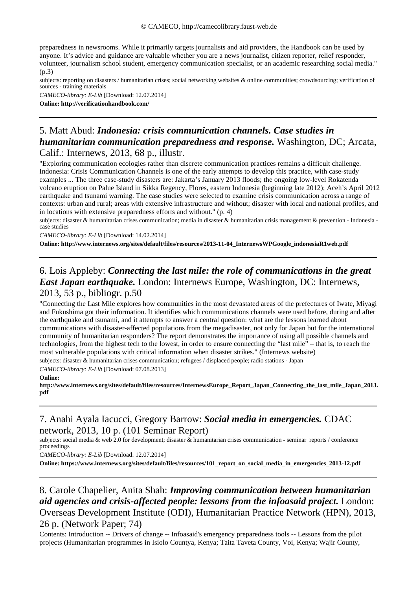preparedness in newsrooms. While it primarily targets journalists and aid providers, the Handbook can be used by anyone. It's advice and guidance are valuable whether you are a news journalist, citizen reporter, relief responder, volunteer, journalism school student, emergency communication specialist, or an academic researching social media."  $(n.3)$ 

subjects: reporting on disasters / humanitarian crises; social networking websites & online communities; crowdsourcing; verification of sources - training materials

*CAMECO-library: E-Lib* [Download: 12.07.2014] **Online: http://verificationhandbook.com/**

## 5. Matt Abud: *Indonesia: crisis communication channels. Case studies in humanitarian communication preparedness and response.* Washington, DC; Arcata, Calif.: Internews, 2013, 68 p., illustr.

"Exploring communication ecologies rather than discrete communication practices remains a difficult challenge. Indonesia: Crisis Communication Channels is one of the early attempts to develop this practice, with case-study examples ... The three case-study disasters are: Jakarta's January 2013 floods; the ongoing low-level Rokatenda volcano eruption on Palue Island in Sikka Regency, Flores, eastern Indonesia (beginning late 2012); Aceh's April 2012 earthquake and tsunami warning. The case studies were selected to examine crisis communication across a range of contexts: urban and rural; areas with extensive infrastructure and without; disaster with local and national profiles, and in locations with extensive preparedness efforts and without." (p. 4)

subjects: disaster & humanitarian crises communication; media in disaster & humanitarian crisis management & prevention - Indonesia case studies

*CAMECO-library: E-Lib* [Download: 14.02.2014]

**Online: http://www.internews.org/sites/default/files/resources/2013-11-04\_InternewsWPGoogle\_indonesiaR1web.pdf**

## 6. Lois Appleby: *Connecting the last mile: the role of communications in the great East Japan earthquake.* London: Internews Europe, Washington, DC: Internews, 2013, 53 p., bibliogr. p.50

"Connecting the Last Mile explores how communities in the most devastated areas of the prefectures of Iwate, Miyagi and Fukushima got their information. It identifies which communications channels were used before, during and after the earthquake and tsunami, and it attempts to answer a central question: what are the lessons learned about communications with disaster-affected populations from the megadisaster, not only for Japan but for the international community of humanitarian responders? The report demonstrates the importance of using all possible channels and technologies, from the highest tech to the lowest, in order to ensure connecting the "last mile" – that is, to reach the most vulnerable populations with critical information when disaster strikes." (Internews website) subjects: disaster & humanitarian crises communication; refugees / displaced people; radio stations - Japan

*CAMECO-library: E-Lib* [Download: 07.08.2013]

#### **Online:**

**http://www.internews.org/sites/default/files/resources/InternewsEurope\_Report\_Japan\_Connecting\_the\_last\_mile\_Japan\_2013. pdf**

### 7. Anahi Ayala Iacucci, Gregory Barrow: *Social media in emergencies.* CDAC network, 2013, 10 p. (101 Seminar Report)

subjects: social media & web 2.0 for development; disaster & humanitarian crises communication - seminar reports / conference proceedings

*CAMECO-library: E-Lib* [Download: 12.07.2014]

**Online: https://www.internews.org/sites/default/files/resources/101\_report\_on\_social\_media\_in\_emergencies\_2013-12.pdf**

#### 8. Carole Chapelier, Anita Shah: *Improving communication between humanitarian aid agencies and crisis-affected people: lessons from the infoasaid project.* London: Overseas Development Institute (ODI), Humanitarian Practice Network (HPN), 2013, 26 p. (Network Paper; 74)

Contents: Introduction -- Drivers of change -- Infoasaid's emergency preparedness tools -- Lessons from the pilot projects (Humanitarian programmes in Isiolo Countya, Kenya; Taita Taveta County, Voi, Kenya; Wajir County,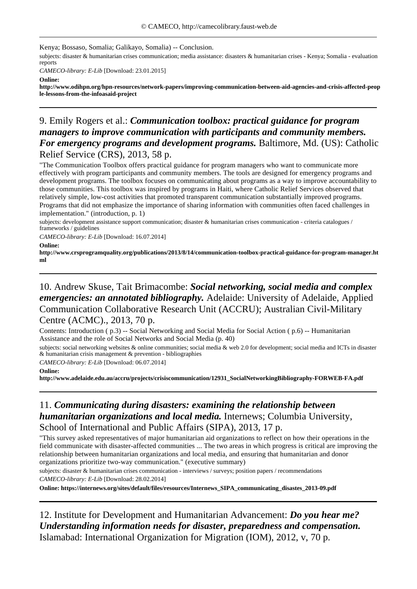Kenya; Bossaso, Somalia; Galikayo, Somalia) -- Conclusion.

subjects: disaster & humanitarian crises communication; media assistance: disasters & humanitarian crises - Kenya; Somalia - evaluation reports

*CAMECO-library: E-Lib* [Download: 23.01.2015]

**Online:**

**http://www.odihpn.org/hpn-resources/network-papers/improving-communication-between-aid-agencies-and-crisis-affected-peop le-lessons-from-the-infoasaid-project**

### 9. Emily Rogers et al.: *Communication toolbox: practical guidance for program managers to improve communication with participants and community members. For emergency programs and development programs.* Baltimore, Md. (US): Catholic Relief Service (CRS), 2013, 58 p.

"The Communication Toolbox offers practical guidance for program managers who want to communicate more effectively with program participants and community members. The tools are designed for emergency programs and development programs. The toolbox focuses on communicating about programs as a way to improve accountability to those communities. This toolbox was inspired by programs in Haiti, where Catholic Relief Services observed that relatively simple, low-cost activities that promoted transparent communication substantially improved programs. Programs that did not emphasize the importance of sharing information with communities often faced challenges in implementation." (introduction, p. 1)

subjects: development assistance support communication; disaster & humanitarian crises communication - criteria catalogues / frameworks / guidelines

*CAMECO-library: E-Lib* [Download: 16.07.2014]

**Online:**

**http://www.crsprogramquality.org/publications/2013/8/14/communication-toolbox-practical-guidance-for-program-manager.ht ml**

#### 10. Andrew Skuse, Tait Brimacombe: *Social networking, social media and complex emergencies: an annotated bibliography.* Adelaide: University of Adelaide, Applied Communication Collaborative Research Unit (ACCRU); Australian Civil-Military Centre (ACMC)., 2013, 70 p.

Contents: Introduction ( p.3) -- Social Networking and Social Media for Social Action ( p.6) -- Humanitarian Assistance and the role of Social Networks and Social Media (p. 40)

subjects: social networking websites & online communities; social media & web 2.0 for development; social media and ICTs in disaster & humanitarian crisis management & prevention - bibliographies

*CAMECO-library: E-Lib* [Download: 06.07.2014]

**Online:**

**http://www.adelaide.edu.au/accru/projects/crisiscommunication/12931\_SocialNetworkingBibliography-FORWEB-FA.pdf**

### 11. *Communicating during disasters: examining the relationship between humanitarian organizations and local media.* Internews; Columbia University, School of International and Public Affairs (SIPA), 2013, 17 p.

"This survey asked representatives of major humanitarian aid organizations to reflect on how their operations in the field communicate with disaster-affected communities ... The two areas in which progress is critical are improving the relationship between humanitarian organizations and local media, and ensuring that humanitarian and donor organizations prioritize two-way communication." (executive summary)

subjects: disaster & humanitarian crises communication - interviews / surveys; position papers / recommendations *CAMECO-library: E-Lib* [Download: 28.02.2014]

**Online: https://internews.org/sites/default/files/resources/Internews\_SIPA\_communicating\_disastes\_2013-09.pdf**

12. Institute for Development and Humanitarian Advancement: *Do you hear me? Understanding information needs for disaster, preparedness and compensation.*  Islamabad: International Organization for Migration (IOM), 2012, v, 70 p.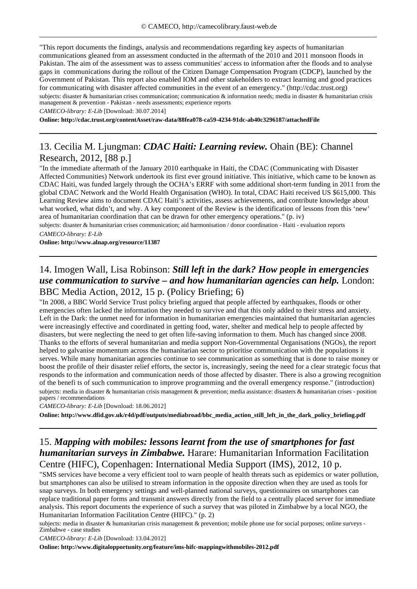"This report documents the findings, analysis and recommendations regarding key aspects of humanitarian communications gleaned from an assessment conducted in the aftermath of the 2010 and 2011 monsoon floods in Pakistan. The aim of the assessment was to assess communities' access to information after the floods and to analyse gaps in communications during the rollout of the Citizen Damage Compensation Program (CDCP), launched by the Government of Pakistan. This report also enabled IOM and other stakeholders to extract learning and good practices for communicating with disaster affected communities in the event of an emergency." (http://cdac.trust.org) subjects: disaster & humanitarian crises communication; communication & information needs; media in disaster & humanitarian crisis management & prevention - Pakistan - needs assessments; experience reports

*CAMECO-library: E-Lib* [Download: 30.07.2014]

**Online: http://cdac.trust.org/contentAsset/raw-data/88fea078-ca59-4234-91dc-ab40c3296187/attachedFile**

## 13. Cecilia M. Ljungman: *CDAC Haiti: Learning review.* Ohain (BE): Channel Research, 2012, [88 p.]

"In the immediate aftermath of the January 2010 earthquake in Haiti, the CDAC (Communicating with Disaster Affected Communities) Network undertook its first ever ground initiative. This initiative, which came to be known as CDAC Haiti, was funded largely through the OCHA's ERRF with some additional short-term funding in 2011 from the global CDAC Network and the World Health Organisation (WHO). In total, CDAC Haiti received US \$615,000. This Learning Review aims to document CDAC Haiti's activities, assess achievements, and contribute knowledge about what worked, what didn't, and why. A key component of the Review is the identification of lessons from this 'new' area of humanitarian coordination that can be drawn for other emergency operations." (p. iv)

subjects: disaster & humanitarian crises communication; aid harmonisation / donor coordination - Haiti - evaluation reports *CAMECO-library: E-Lib*

**Online: http://www.alnap.org/resource/11387**

## 14. Imogen Wall, Lisa Robinson: *Still left in the dark? How people in emergencies use communication to survive – and how humanitarian agencies can help.* London: BBC Media Action, 2012, 15 p. (Policy Briefing; 6)

"In 2008, a BBC World Service Trust policy briefing argued that people affected by earthquakes, floods or other emergencies often lacked the information they needed to survive and that this only added to their stress and anxiety. Left in the Dark: the unmet need for information in humanitarian emergencies maintained that humanitarian agencies were increasingly effective and coordinated in getting food, water, shelter and medical help to people affected by disasters, but were neglecting the need to get often life-saving information to them. Much has changed since 2008. Thanks to the efforts of several humanitarian and media support Non-Governmental Organisations (NGOs), the report helped to galvanise momentum across the humanitarian sector to prioritise communication with the populations it serves. While many humanitarian agencies continue to see communication as something that is done to raise money or boost the profile of their disaster relief efforts, the sector is, increasingly, seeing the need for a clear strategic focus that responds to the information and communication needs of those affected by disaster. There is also a growing recognition of the benefi ts of such communication to improve programming and the overall emergency response." (introduction) subjects: media in disaster & humanitarian crisis management & prevention; media assistance: disasters & humanitarian crises - position papers / recommendations

*CAMECO-library: E-Lib* [Download: 18.06.2012]

**Online: http://www.dfid.gov.uk/r4d/pdf/outputs/mediabroad/bbc\_media\_action\_still\_left\_in\_the\_dark\_policy\_briefing.pdf**

## 15. *Mapping with mobiles: lessons learnt from the use of smartphones for fast humanitarian surveys in Zimbabwe.* Harare: Humanitarian Information Facilitation Centre (HIFC), Copenhagen: International Media Support (IMS), 2012, 10 p.

"SMS services have become a very efficient tool to warn people of health threats such as epidemics or water pollution, but smartphones can also be utilised to stream information in the opposite direction when they are used as tools for snap surveys. In both emergency settings and well-planned national surveys, questionnaires on smartphones can replace traditional paper forms and transmit answers directly from the field to a centrally placed server for immediate analysis. This report documents the experience of such a survey that was piloted in Zimbabwe by a local NGO, the Humanitarian Information Facilitation Centre (HIFC)." (p. 2)

subjects: media in disaster & humanitarian crisis management & prevention; mobile phone use for social purposes; online surveys -Zimbabwe - case studies

*CAMECO-library: E-Lib* [Download: 13.04.2012]

**Online: http://www.digitalopportunity.org/feature/ims-hifc-mappingwithmobiles-2012.pdf**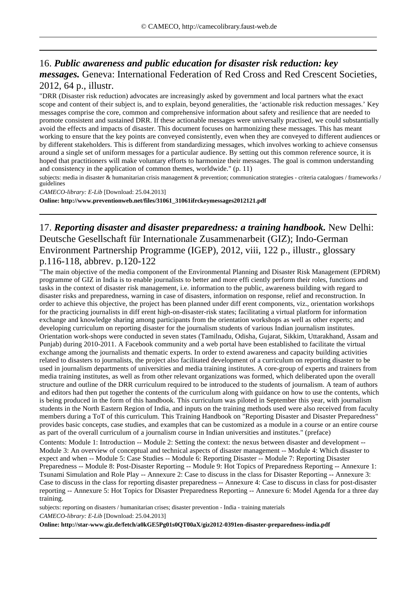## 16. *Public awareness and public education for disaster risk reduction: key messages.* Geneva: International Federation of Red Cross and Red Crescent Societies, 2012, 64 p., illustr.

"DRR (Disaster risk reduction) advocates are increasingly asked by government and local partners what the exact scope and content of their subject is, and to explain, beyond generalities, the 'actionable risk reduction messages.' Key messages comprise the core, common and comprehensive information about safety and resilience that are needed to promote consistent and sustained DRR. If these actionable messages were universally practised, we could substantially avoid the effects and impacts of disaster. This document focuses on harmonizing these messages. This has meant working to ensure that the key points are conveyed consistently, even when they are conveyed to different audiences or by different stakeholders. This is different from standardizing messages, which involves working to achieve consensus around a single set of uniform messages for a particular audience. By setting out this common reference source, it is hoped that practitioners will make voluntary efforts to harmonize their messages. The goal is common understanding and consistency in the application of common themes, worldwide." (p. 11)

subjects: media in disaster & humanitarian crisis management & prevention; communication strategies - criteria catalogues / frameworks / guidelines

*CAMECO-library: E-Lib* [Download: 25.04.2013]

**Online: http://www.preventionweb.net/files/31061\_31061ifrckeymessages2012121.pdf**

## 17. *Reporting disaster and disaster preparedness: a training handbook.* New Delhi: Deutsche Gesellschaft für Internationale Zusammenarbeit (GIZ); Indo-German Environment Partnership Programme (IGEP), 2012, viii, 122 p., illustr., glossary p.116-118, abbrev. p.120-122

"The main objective of the media component of the Environmental Planning and Disaster Risk Management (EPDRM) programme of GIZ in India is to enable journalists to better and more effi ciently perform their roles, functions and tasks in the context of disaster risk management, i.e. information to the public, awareness building with regard to disaster risks and preparedness, warning in case of disasters, information on response, relief and reconstruction. In order to achieve this objective, the project has been planned under diff erent components, viz., orientation workshops for the practicing journalists in diff erent high-on-disaster-risk states; facilitating a virtual platform for information exchange and knowledge sharing among participants from the orientation workshops as well as other experts; and developing curriculum on reporting disaster for the journalism students of various Indian journalism institutes. Orientation work-shops were conducted in seven states (Tamilnadu, Odisha, Gujarat, Sikkim, Uttarakhand, Assam and Punjab) during 2010-2011. A Facebook community and a web portal have been established to facilitate the virtual exchange among the journalists and thematic experts. In order to extend awareness and capacity building activities related to disasters to journalists, the project also facilitated development of a curriculum on reporting disaster to be used in journalism departments of universities and media training institutes. A core-group of experts and trainers from media training institutes, as well as from other relevant organizations was formed, which deliberated upon the overall structure and outline of the DRR curriculum required to be introduced to the students of journalism. A team of authors and editors had then put together the contents of the curriculum along with guidance on how to use the contents, which is being produced in the form of this handbook. This curriculum was piloted in September this year, with journalism students in the North Eastern Region of India, and inputs on the training methods used were also received from faculty members during a ToT of this curriculum. This Training Handbook on "Reporting Disaster and Disaster Preparedness" provides basic concepts, case studies, and examples that can be customized as a module in a course or an entire course as part of the overall curriculum of a journalism course in Indian universities and institutes." (preface)

Contents: Module 1: Introduction -- Module 2: Setting the context: the nexus between disaster and development -- Module 3: An overview of conceptual and technical aspects of disaster management -- Module 4: Which disaster to expect and when -- Module 5: Case Studies -- Module 6: Reporting Disaster -- Module 7: Reporting Disaster Preparedness -- Module 8: Post-Disaster Reporting -- Module 9: Hot Topics of Preparedness Reporting -- Annexure 1: Tsunami Simulation and Role Play -- Annexure 2: Case to discuss in the class for Disaster Reporting -- Annexure 3: Case to discuss in the class for reporting disaster preparedness -- Annexure 4: Case to discuss in class for post-disaster reporting -- Annexure 5: Hot Topics for Disaster Preparedness Reporting -- Annexure 6: Model Agenda for a three day training.

subjects: reporting on disasters / humanitarian crises; disaster prevention - India - training materials *CAMECO-library: E-Lib* [Download: 25.04.2013]

**Online: http://star-www.giz.de/fetch/a0kGE5Pg01s0QT00aX/giz2012-0391en-disaster-preparedness-india.pdf**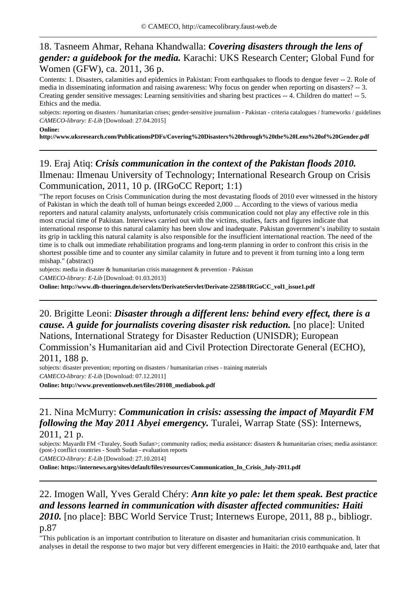## 18. Tasneem Ahmar, Rehana Khandwalla: *Covering disasters through the lens of gender: a guidebook for the media.* Karachi: UKS Research Center; Global Fund for Women (GFW), ca. 2011, 36 p.

Contents: 1. Disasters, calamities and epidemics in Pakistan: From earthquakes to floods to dengue fever -- 2. Role of media in disseminating information and raising awareness: Why focus on gender when reporting on disasters? -- 3. Creating gender sensitive messages: Learning sensitivities and sharing best practices -- 4. Children do matter! -- 5. Ethics and the media.

subjects: reporting on disasters / humanitarian crises; gender-sensitive journalism - Pakistan - criteria catalogues / frameworks / guidelines *CAMECO-library: E-Lib* [Download: 27.04.2015]

#### **Online:**

**http://www.uksresearch.com/PublicationsPDFs/Covering%20Disasters%20through%20the%20Lens%20of%20Gender.pdf**

## 19. Eraj Atiq: *Crisis communication in the context of the Pakistan floods 2010.*  Ilmenau: Ilmenau University of Technology; International Research Group on Crisis Communication, 2011, 10 p. (IRGoCC Report; 1:1)

"The report focuses on Crisis Communication during the most devastating floods of 2010 ever witnessed in the history of Pakistan in which the death toll of human beings exceeded 2,000 ... According to the views of various media reporters and natural calamity analysts, unfortunately crisis communication could not play any effective role in this most crucial time of Pakistan. Interviews carried out with the victims, studies, facts and figures indicate that international response to this natural calamity has been slow and inadequate. Pakistan government's inability to sustain its grip in tackling this natural calamity is also responsible for the insufficient international reaction. The need of the time is to chalk out immediate rehabilitation programs and long-term planning in order to confront this crisis in the shortest possible time and to counter any similar calamity in future and to prevent it from turning into a long term mishap." (abstract)

subjects: media in disaster & humanitarian crisis management & prevention - Pakistan *CAMECO-library: E-Lib* [Download: 01.03.2013]

**Online: http://www.db-thueringen.de/servlets/DerivateServlet/Derivate-22588/IRGoCC\_vol1\_issue1.pdf**

20. Brigitte Leoni: *Disaster through a different lens: behind every effect, there is a cause. A guide for journalists covering disaster risk reduction.* [no place]: United Nations, International Strategy for Disaster Reduction (UNISDR); European Commission's Humanitarian aid and Civil Protection Directorate General (ECHO), 2011, 188 p.

subjects: disaster prevention; reporting on disasters / humanitarian crises - training materials *CAMECO-library: E-Lib* [Download: 07.12.2011] **Online: http://www.preventionweb.net/files/20108\_mediabook.pdf**

### 21. Nina McMurry: *Communication in crisis: assessing the impact of Mayardit FM following the May 2011 Abyei emergency.* Turalei, Warrap State (SS): Internews, 2011, 21 p.

subjects: Mayardit FM <Turaley, South Sudan>; community radios; media assistance: disasters & humanitarian crises; media assistance: (post-) conflict countries - South Sudan - evaluation reports

*CAMECO-library: E-Lib* [Download: 27.10.2014]

**Online: https://internews.org/sites/default/files/resources/Communication\_In\_Crisis\_July-2011.pdf**

## 22. Imogen Wall, Yves Gerald Chéry: *Ann kite yo pale: let them speak. Best practice and lessons learned in communication with disaster affected communities: Haiti 2010.* [no place]: BBC World Service Trust; Internews Europe, 2011, 88 p., bibliogr. p.87

"This publication is an important contribution to literature on disaster and humanitarian crisis communication. It analyses in detail the response to two major but very different emergencies in Haiti: the 2010 earthquake and, later that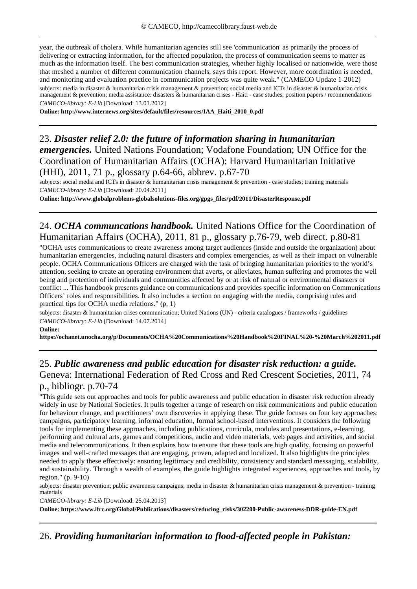year, the outbreak of cholera. While humanitarian agencies still see 'communication' as primarily the process of delivering or extracting information, for the affected population, the process of communication seems to matter as much as the information itself. The best communication strategies, whether highly localised or nationwide, were those that meshed a number of different communication channels, says this report. However, more coordination is needed, and monitoring and evaluation practice in communication projects was quite weak." (CAMECO Update 1-2012) subjects: media in disaster & humanitarian crisis management & prevention; social media and ICTs in disaster & humanitarian crisis management & prevention; media assistance: disasters & humanitarian crises - Haiti - case studies; position papers / recommendations *CAMECO-library: E-Lib* [Download: 13.01.2012]

**Online: http://www.internews.org/sites/default/files/resources/IAA\_Haiti\_2010\_0.pdf**

## 23. *Disaster relief 2.0: the future of information sharing in humanitarian emergencies.* United Nations Foundation; Vodafone Foundation; UN Office for the Coordination of Humanitarian Affairs (OCHA); Harvard Humanitarian Initiative (HHI), 2011, 71 p., glossary p.64-66, abbrev. p.67-70

subjects: social media and ICTs in disaster & humanitarian crisis management & prevention - case studies; training materials *CAMECO-library: E-Lib* [Download: 20.04.2011]

**Online: http://www.globalproblems-globalsolutions-files.org/gpgs\_files/pdf/2011/DisasterResponse.pdf**

### 24. *OCHA communcations handbook.* United Nations Office for the Coordination of Humanitarian Affairs (OCHA), 2011, 81 p., glossary p.76-79, web direct. p.80-81

"OCHA uses communications to create awareness among target audiences (inside and outside the organization) about humanitarian emergencies, including natural disasters and complex emergencies, as well as their impact on vulnerable people. OCHA Communications Officers are charged with the task of bringing humanitarian priorities to the world's attention, seeking to create an operating environment that averts, or alleviates, human suffering and promotes the well being and protection of individuals and communities affected by or at risk of natural or environmental disasters or conflict ... This handbook presents guidance on communications and provides specific information on Communications Officers' roles and responsibilities. It also includes a section on engaging with the media, comprising rules and practical tips for OCHA media relations." (p. 1)

subjects: disaster & humanitarian crises communication; United Nations (UN) - criteria catalogues / frameworks / guidelines *CAMECO-library: E-Lib* [Download: 14.07.2014]

#### **Online:**

**https://ochanet.unocha.org/p/Documents/OCHA%20Communications%20Handbook%20FINAL%20-%20March%202011.pdf**

### 25. *Public awareness and public education for disaster risk reduction: a guide.*  Geneva: International Federation of Red Cross and Red Crescent Societies, 2011, 74 p., bibliogr. p.70-74

"This guide sets out approaches and tools for public awareness and public education in disaster risk reduction already widely in use by National Societies. It pulls together a range of research on risk communications and public education for behaviour change, and practitioners' own discoveries in applying these. The guide focuses on four key approaches: campaigns, participatory learning, informal education, formal school-based interventions. It considers the following tools for implementing these approaches, including publications, curricula, modules and presentations, e-learning, performing and cultural arts, games and competitions, audio and video materials, web pages and activities, and social media and telecommunications. It then explains how to ensure that these tools are high quality, focusing on powerful images and well-crafted messages that are engaging, proven, adapted and localized. It also highlights the principles needed to apply these effectively: ensuring legitimacy and credibility, consistency and standard messaging, scalability, and sustainability. Through a wealth of examples, the guide highlights integrated experiences, approaches and tools, by region." (p. 9-10)

subjects: disaster prevention; public awareness campaigns; media in disaster & humanitarian crisis management & prevention - training materials

*CAMECO-library: E-Lib* [Download: 25.04.2013]

**Online: https://www.ifrc.org/Global/Publications/disasters/reducing\_risks/302200-Public-awareness-DDR-guide-EN.pdf**

26. *Providing humanitarian information to flood-affected people in Pakistan:*